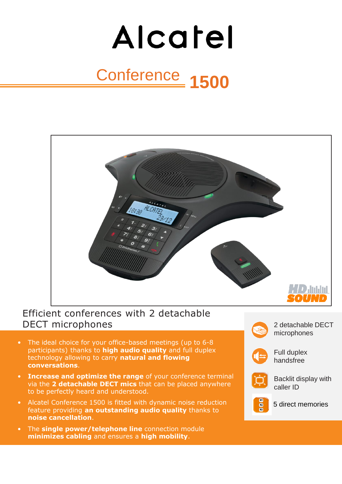# Alcatel Conference **1500**



# Efficient conferences with 2 detachable DECT microphones

- The ideal choice for your office-based meetings (up to 6-8 participants) thanks to **high audio quality** and full duplex technology allowing to carry **natural and flowing conversations**.
- **Increase and optimize the range** of your conference terminal via the **2 detachable DECT mics** that can be placed anywhere to be perfectly heard and understood.
- Alcatel Conference 1500 is fitted with dynamic noise reduction feature providing **an outstanding audio quality** thanks to **noise cancellation**.
- The **single power/telephone line** connection module **minimizes cabling** and ensures a **high mobility**.
- - 2 detachable DECT microphones



Full duplex handsfree



Backlit display with caller ID



- 5 direct memories
-